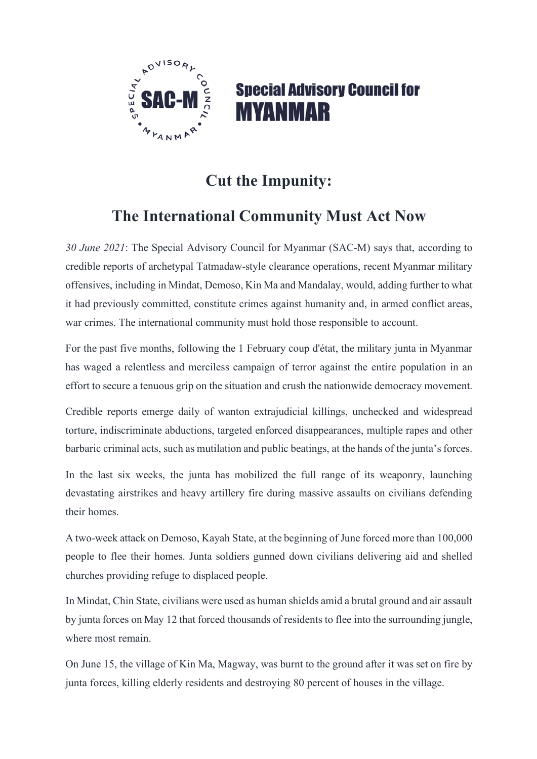

## **Special Advisory Council for MYANMAR**

## **Cut the Impunity:**

## **The International Community Must Act Now**

*30 June 2021*: The Special Advisory Council for Myanmar (SAC-M) says that, according to credible reports of archetypal Tatmadaw-style clearance operations, recent Myanmar military offensives, including in Mindat, Demoso, Kin Ma and Mandalay, would, adding further to what it had previously committed, constitute crimes against humanity and, in armed conflict areas, war crimes. The international community must hold those responsible to account.

For the past five months, following the 1 February coup d'état, the military junta in Myanmar has waged a relentless and merciless campaign of terror against the entire population in an effort to secure a tenuous grip on the situation and crush the nationwide democracy movement.

Credible reports emerge daily of wanton extrajudicial killings, unchecked and widespread torture, indiscriminate abductions, targeted enforced disappearances, multiple rapes and other barbaric criminal acts, such as mutilation and public beatings, at the hands of the junta's forces.

In the last six weeks, the junta has mobilized the full range of its weaponry, launching devastating airstrikes and heavy artillery fire during massive assaults on civilians defending their homes.

A two-week attack on Demoso, Kayah State, at the beginning of June forced more than 100,000 people to flee their homes. Junta soldiers gunned down civilians delivering aid and shelled churches providing refuge to displaced people.

In Mindat, Chin State, civilians were used as human shields amid a brutal ground and air assault by junta forces on May 12 that forced thousands of residents to flee into the surrounding jungle, where most remain.

On June 15, the village of Kin Ma, Magway, was burnt to the ground after it was set on fire by junta forces, killing elderly residents and destroying 80 percent of houses in the village.